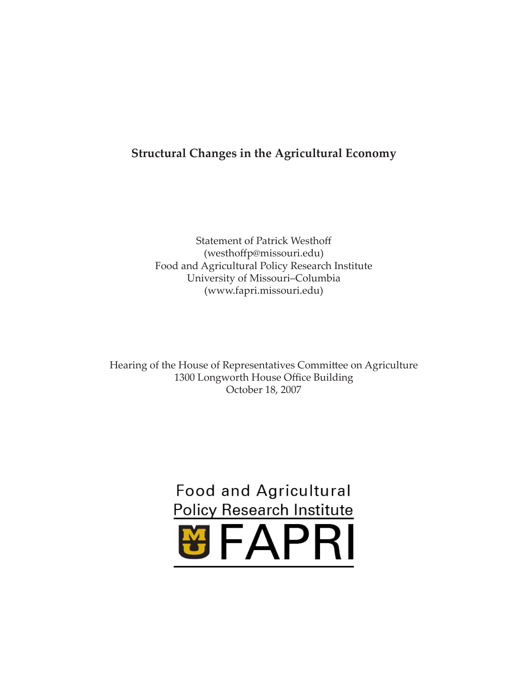# **Structural Changes in the Agricultural Economy**

Statement of Patrick Westhoff (westhoffp@missouri.edu) Food and Agricultural Policy Research Institute University of Missouri–Columbia (www.fapri.missouri.edu)

Hearing of the House of Representatives Committee on Agriculture 1300 Longworth House Office Building October 18, 2007

# **Food and Agricultural Policy Research Institute**

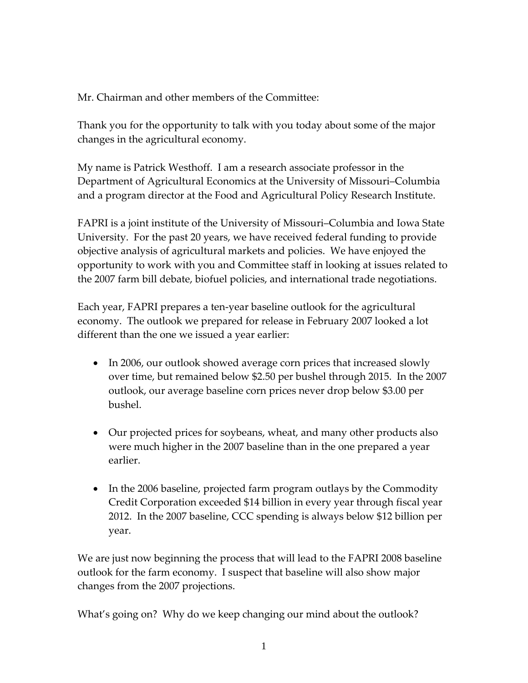Mr. Chairman and other members of the Committee:

Thank you for the opportunity to talk with you today about some of the major changes in the agricultural economy.

My name is Patrick Westhoff. I am a research associate professor in the Department of Agricultural Economics at the University of Missouri–Columbia and a program director at the Food and Agricultural Policy Research Institute.

FAPRI is a joint institute of the University of Missouri–Columbia and Iowa State University. For the past 20 years, we have received federal funding to provide objective analysis of agricultural markets and policies. We have enjoyed the opportunity to work with you and Committee staff in looking at issues related to the 2007 farm bill debate, biofuel policies, and international trade negotiations.

Each year, FAPRI prepares a ten‐year baseline outlook for the agricultural economy. The outlook we prepared for release in February 2007 looked a lot different than the one we issued a year earlier:

- In 2006, our outlook showed average corn prices that increased slowly over time, but remained below \$2.50 per bushel through 2015. In the 2007 outlook, our average baseline corn prices never drop below \$3.00 per bushel.
- Our projected prices for soybeans, wheat, and many other products also were much higher in the 2007 baseline than in the one prepared a year earlier.
- In the 2006 baseline, projected farm program outlays by the Commodity Credit Corporation exceeded \$14 billion in every year through fiscal year 2012. In the 2007 baseline, CCC spending is always below \$12 billion per year.

We are just now beginning the process that will lead to the FAPRI 2008 baseline outlook for the farm economy. I suspect that baseline will also show major changes from the 2007 projections.

What's going on? Why do we keep changing our mind about the outlook?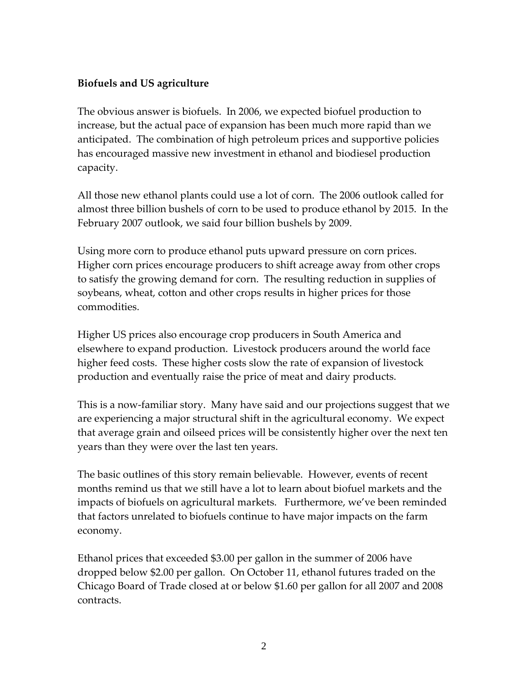# **Biofuels and US agriculture**

The obvious answer is biofuels. In 2006, we expected biofuel production to increase, but the actual pace of expansion has been much more rapid than we anticipated. The combination of high petroleum prices and supportive policies has encouraged massive new investment in ethanol and biodiesel production capacity.

All those new ethanol plants could use a lot of corn. The 2006 outlook called for almost three billion bushels of corn to be used to produce ethanol by 2015. In the February 2007 outlook, we said four billion bushels by 2009.

Using more corn to produce ethanol puts upward pressure on corn prices. Higher corn prices encourage producers to shift acreage away from other crops to satisfy the growing demand for corn. The resulting reduction in supplies of soybeans, wheat, cotton and other crops results in higher prices for those commodities.

Higher US prices also encourage crop producers in South America and elsewhere to expand production. Livestock producers around the world face higher feed costs. These higher costs slow the rate of expansion of livestock production and eventually raise the price of meat and dairy products.

This is a now‐familiar story. Many have said and our projections suggest that we are experiencing a major structural shift in the agricultural economy. We expect that average grain and oilseed prices will be consistently higher over the next ten years than they were over the last ten years.

The basic outlines of this story remain believable. However, events of recent months remind us that we still have a lot to learn about biofuel markets and the impacts of biofuels on agricultural markets. Furthermore, we've been reminded that factors unrelated to biofuels continue to have major impacts on the farm economy.

Ethanol prices that exceeded \$3.00 per gallon in the summer of 2006 have dropped below \$2.00 per gallon. On October 11, ethanol futures traded on the Chicago Board of Trade closed at or below \$1.60 per gallon for all 2007 and 2008 contracts.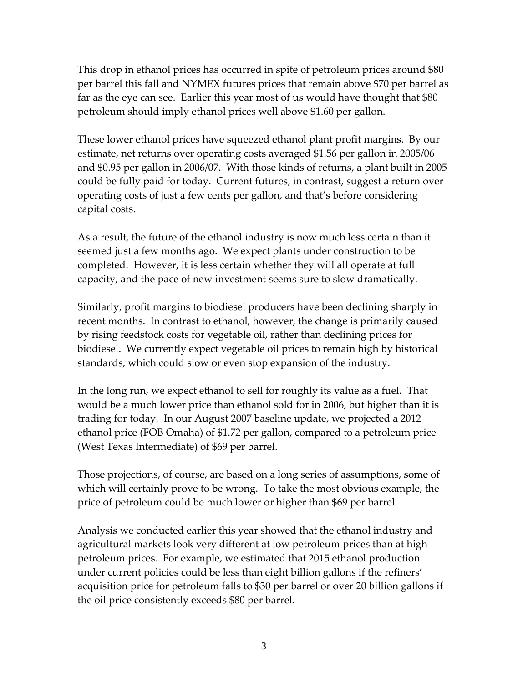This drop in ethanol prices has occurred in spite of petroleum prices around \$80 per barrel this fall and NYMEX futures prices that remain above \$70 per barrel as far as the eye can see. Earlier this year most of us would have thought that \$80 petroleum should imply ethanol prices well above \$1.60 per gallon.

These lower ethanol prices have squeezed ethanol plant profit margins. By our estimate, net returns over operating costs averaged \$1.56 per gallon in 2005/06 and \$0.95 per gallon in 2006/07. With those kinds of returns, a plant built in 2005 could be fully paid for today. Current futures, in contrast, suggest a return over operating costs of just a few cents per gallon, and that's before considering capital costs.

As a result, the future of the ethanol industry is now much less certain than it seemed just a few months ago. We expect plants under construction to be completed. However, it is less certain whether they will all operate at full capacity, and the pace of new investment seems sure to slow dramatically.

Similarly, profit margins to biodiesel producers have been declining sharply in recent months. In contrast to ethanol, however, the change is primarily caused by rising feedstock costs for vegetable oil, rather than declining prices for biodiesel. We currently expect vegetable oil prices to remain high by historical standards, which could slow or even stop expansion of the industry.

In the long run, we expect ethanol to sell for roughly its value as a fuel. That would be a much lower price than ethanol sold for in 2006, but higher than it is trading for today. In our August 2007 baseline update, we projected a 2012 ethanol price (FOB Omaha) of \$1.72 per gallon, compared to a petroleum price (West Texas Intermediate) of \$69 per barrel.

Those projections, of course, are based on a long series of assumptions, some of which will certainly prove to be wrong. To take the most obvious example, the price of petroleum could be much lower or higher than \$69 per barrel.

Analysis we conducted earlier this year showed that the ethanol industry and agricultural markets look very different at low petroleum prices than at high petroleum prices. For example, we estimated that 2015 ethanol production under current policies could be less than eight billion gallons if the refiners' acquisition price for petroleum falls to \$30 per barrel or over 20 billion gallons if the oil price consistently exceeds \$80 per barrel.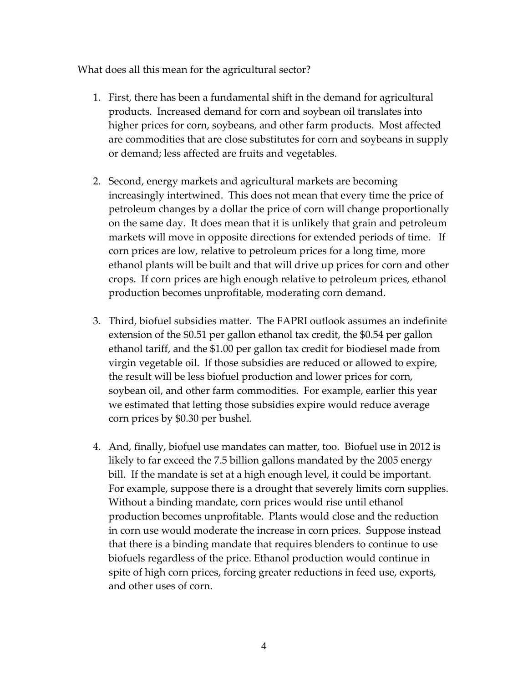What does all this mean for the agricultural sector?

- 1. First, there has been a fundamental shift in the demand for agricultural products. Increased demand for corn and soybean oil translates into higher prices for corn, soybeans, and other farm products. Most affected are commodities that are close substitutes for corn and soybeans in supply or demand; less affected are fruits and vegetables.
- 2. Second, energy markets and agricultural markets are becoming increasingly intertwined. This does not mean that every time the price of petroleum changes by a dollar the price of corn will change proportionally on the same day. It does mean that it is unlikely that grain and petroleum markets will move in opposite directions for extended periods of time. If corn prices are low, relative to petroleum prices for a long time, more ethanol plants will be built and that will drive up prices for corn and other crops. If corn prices are high enough relative to petroleum prices, ethanol production becomes unprofitable, moderating corn demand.
- 3. Third, biofuel subsidies matter. The FAPRI outlook assumes an indefinite extension of the \$0.51 per gallon ethanol tax credit, the \$0.54 per gallon ethanol tariff, and the \$1.00 per gallon tax credit for biodiesel made from virgin vegetable oil. If those subsidies are reduced or allowed to expire, the result will be less biofuel production and lower prices for corn, soybean oil, and other farm commodities. For example, earlier this year we estimated that letting those subsidies expire would reduce average corn prices by \$0.30 per bushel.
- 4. And, finally, biofuel use mandates can matter, too. Biofuel use in 2012 is likely to far exceed the 7.5 billion gallons mandated by the 2005 energy bill. If the mandate is set at a high enough level, it could be important. For example, suppose there is a drought that severely limits corn supplies. Without a binding mandate, corn prices would rise until ethanol production becomes unprofitable. Plants would close and the reduction in corn use would moderate the increase in corn prices. Suppose instead that there is a binding mandate that requires blenders to continue to use biofuels regardless of the price. Ethanol production would continue in spite of high corn prices, forcing greater reductions in feed use, exports, and other uses of corn.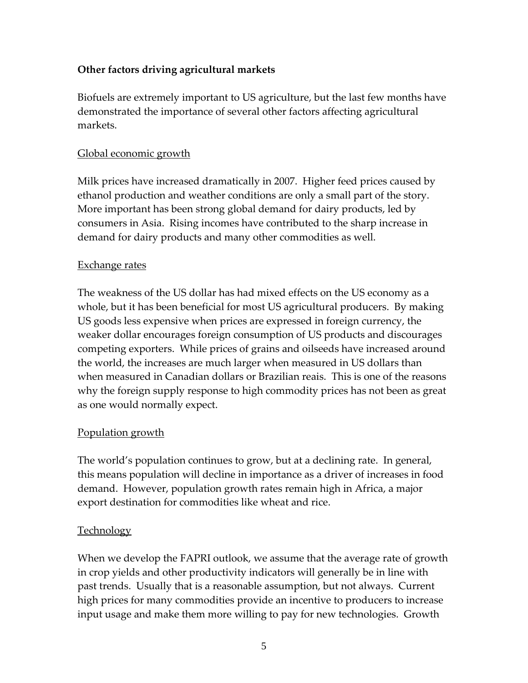# **Other factors driving agricultural markets**

Biofuels are extremely important to US agriculture, but the last few months have demonstrated the importance of several other factors affecting agricultural markets.

#### Global economic growth

Milk prices have increased dramatically in 2007. Higher feed prices caused by ethanol production and weather conditions are only a small part of the story. More important has been strong global demand for dairy products, led by consumers in Asia. Rising incomes have contributed to the sharp increase in demand for dairy products and many other commodities as well.

#### Exchange rates

The weakness of the US dollar has had mixed effects on the US economy as a whole, but it has been beneficial for most US agricultural producers. By making US goods less expensive when prices are expressed in foreign currency, the weaker dollar encourages foreign consumption of US products and discourages competing exporters. While prices of grains and oilseeds have increased around the world, the increases are much larger when measured in US dollars than when measured in Canadian dollars or Brazilian reais. This is one of the reasons why the foreign supply response to high commodity prices has not been as great as one would normally expect.

## Population growth

The world's population continues to grow, but at a declining rate. In general, this means population will decline in importance as a driver of increases in food demand. However, population growth rates remain high in Africa, a major export destination for commodities like wheat and rice.

## Technology

When we develop the FAPRI outlook, we assume that the average rate of growth in crop yields and other productivity indicators will generally be in line with past trends. Usually that is a reasonable assumption, but not always. Current high prices for many commodities provide an incentive to producers to increase input usage and make them more willing to pay for new technologies. Growth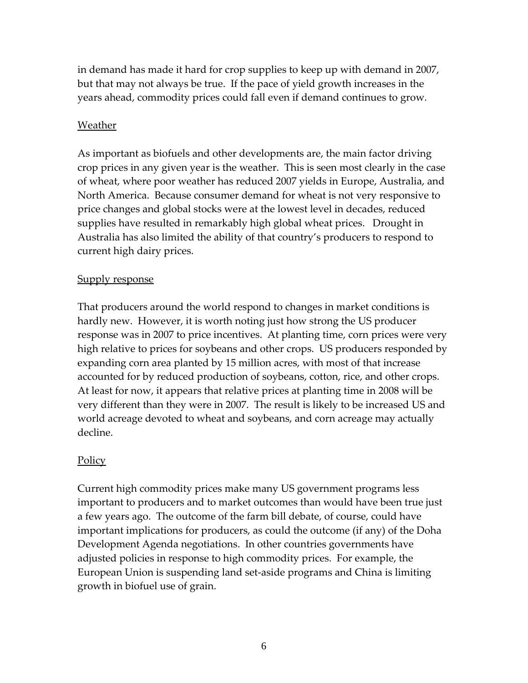in demand has made it hard for crop supplies to keep up with demand in 2007, but that may not always be true. If the pace of yield growth increases in the years ahead, commodity prices could fall even if demand continues to grow.

# Weather

As important as biofuels and other developments are, the main factor driving crop prices in any given year is the weather. This is seen most clearly in the case of wheat, where poor weather has reduced 2007 yields in Europe, Australia, and North America. Because consumer demand for wheat is not very responsive to price changes and global stocks were at the lowest level in decades, reduced supplies have resulted in remarkably high global wheat prices. Drought in Australia has also limited the ability of that country's producers to respond to current high dairy prices.

# **Supply response**

That producers around the world respond to changes in market conditions is hardly new. However, it is worth noting just how strong the US producer response was in 2007 to price incentives. At planting time, corn prices were very high relative to prices for soybeans and other crops. US producers responded by expanding corn area planted by 15 million acres, with most of that increase accounted for by reduced production of soybeans, cotton, rice, and other crops. At least for now, it appears that relative prices at planting time in 2008 will be very different than they were in 2007. The result is likely to be increased US and world acreage devoted to wheat and soybeans, and corn acreage may actually decline.

# Policy

Current high commodity prices make many US government programs less important to producers and to market outcomes than would have been true just a few years ago. The outcome of the farm bill debate, of course, could have important implications for producers, as could the outcome (if any) of the Doha Development Agenda negotiations. In other countries governments have adjusted policies in response to high commodity prices. For example, the European Union is suspending land set‐aside programs and China is limiting growth in biofuel use of grain.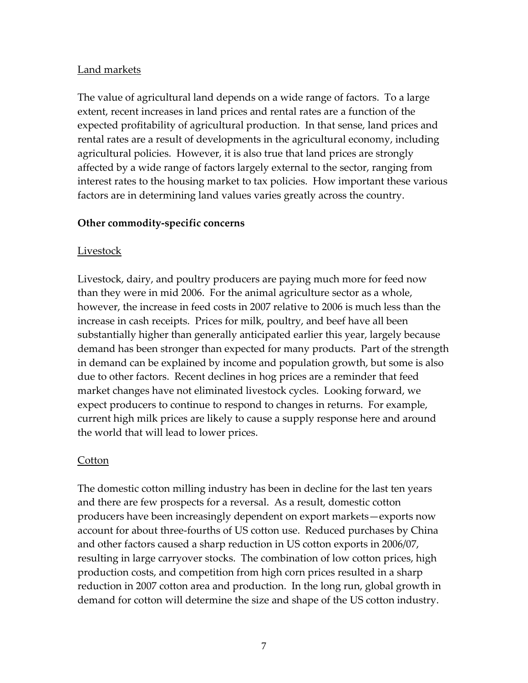# Land markets

The value of agricultural land depends on a wide range of factors. To a large extent, recent increases in land prices and rental rates are a function of the expected profitability of agricultural production. In that sense, land prices and rental rates are a result of developments in the agricultural economy, including agricultural policies. However, it is also true that land prices are strongly affected by a wide range of factors largely external to the sector, ranging from interest rates to the housing market to tax policies. How important these various factors are in determining land values varies greatly across the country.

## **Other commodity‐specific concerns**

## **Livestock**

Livestock, dairy, and poultry producers are paying much more for feed now than they were in mid 2006. For the animal agriculture sector as a whole, however, the increase in feed costs in 2007 relative to 2006 is much less than the increase in cash receipts. Prices for milk, poultry, and beef have all been substantially higher than generally anticipated earlier this year, largely because demand has been stronger than expected for many products. Part of the strength in demand can be explained by income and population growth, but some is also due to other factors. Recent declines in hog prices are a reminder that feed market changes have not eliminated livestock cycles. Looking forward, we expect producers to continue to respond to changes in returns. For example, current high milk prices are likely to cause a supply response here and around the world that will lead to lower prices.

## **Cotton**

The domestic cotton milling industry has been in decline for the last ten years and there are few prospects for a reversal. As a result, domestic cotton producers have been increasingly dependent on export markets—exports now account for about three‐fourths of US cotton use. Reduced purchases by China and other factors caused a sharp reduction in US cotton exports in 2006/07, resulting in large carryover stocks. The combination of low cotton prices, high production costs, and competition from high corn prices resulted in a sharp reduction in 2007 cotton area and production. In the long run, global growth in demand for cotton will determine the size and shape of the US cotton industry.